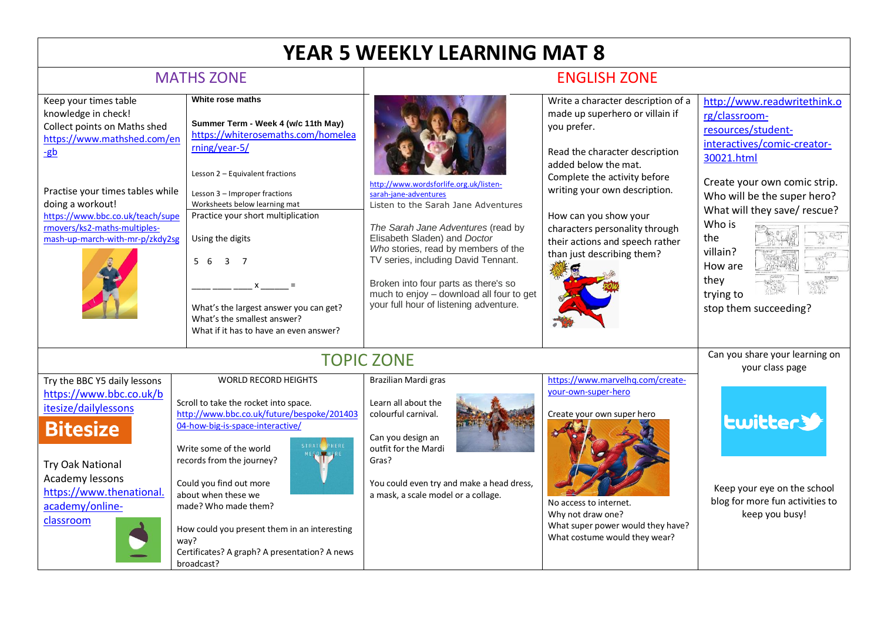## **YEAR 5 WEEKLY LEARNING MAT 8**

## MATHS ZONE **ENGLISH ZONE**

| Keep your times table<br>knowledge in check!<br>Collect points on Maths shed<br>https://www.mathshed.com/en<br>-gb<br>Practise your times tables while<br>doing a workout!<br>https://www.bbc.co.uk/teach/supe<br>rmovers/ks2-maths-multiples-<br>mash-up-march-with-mr-p/zkdy2sg | White rose maths<br>Summer Term - Week 4 (w/c 11th May)<br>https://whiterosemaths.com/homelea<br>rning/year-5/<br>Lesson 2 - Equivalent fractions<br>Lesson 3 - Improper fractions<br>Worksheets below learning mat<br>Practice your short multiplication<br>Using the digits<br>5 6<br>$\overline{3}$ 7<br>What's the largest answer you can get?<br>What's the smallest answer?<br>What if it has to have an even answer? | http://www.wordsforlife.org.uk/listen-<br>sarah-iane-adventures<br>Listen to the Sarah Jane Adventures<br>The Sarah Jane Adventures (read by<br>Elisabeth Sladen) and Doctor<br>Who stories, read by members of the<br>TV series, including David Tennant.<br>Broken into four parts as there's so<br>much to enjoy - download all four to get<br>your full hour of listening adventure. | Write a character description of a<br>made up superhero or villain if<br>you prefer.<br>Read the character description<br>added below the mat.<br>Complete the activity before<br>writing your own description.<br>How can you show your<br>characters personality through<br>their actions and speech rather<br>than just describing them? | http://www.readwritethink.o<br>rg/classroom-<br>resources/student-<br>interactives/comic-creator-<br>30021.html<br>Create your own comic strip.<br>Who will be the super hero?<br>What will they save/rescue?<br>Who is<br>the<br>villain?<br>How are<br>they<br>trying to<br>stop them succeeding? |
|-----------------------------------------------------------------------------------------------------------------------------------------------------------------------------------------------------------------------------------------------------------------------------------|-----------------------------------------------------------------------------------------------------------------------------------------------------------------------------------------------------------------------------------------------------------------------------------------------------------------------------------------------------------------------------------------------------------------------------|------------------------------------------------------------------------------------------------------------------------------------------------------------------------------------------------------------------------------------------------------------------------------------------------------------------------------------------------------------------------------------------|---------------------------------------------------------------------------------------------------------------------------------------------------------------------------------------------------------------------------------------------------------------------------------------------------------------------------------------------|-----------------------------------------------------------------------------------------------------------------------------------------------------------------------------------------------------------------------------------------------------------------------------------------------------|
|                                                                                                                                                                                                                                                                                   |                                                                                                                                                                                                                                                                                                                                                                                                                             | <b>TOPIC ZONE</b>                                                                                                                                                                                                                                                                                                                                                                        |                                                                                                                                                                                                                                                                                                                                             | Can you share your learning on                                                                                                                                                                                                                                                                      |
| Try the BBC Y5 daily lessons<br>https://www.bbc.co.uk/b<br>itesize/dailylessons<br><b>Bitesize</b><br><b>Try Oak National</b><br>Academy lessons<br>https://www.thenational.<br>academy/online-<br>classroom                                                                      | <b>WORLD RECORD HEIGHTS</b><br>Scroll to take the rocket into space.<br>http://www.bbc.co.uk/future/bespoke/201403<br>04-how-big-is-space-interactive/<br>HERE<br>Write some of the world<br>records from the journey?<br>Could you find out more<br>about when these we<br>made? Who made them?<br>How could you present them in an interesting<br>way?<br>Certificates? A graph? A presentation? A news<br>broadcast?     | Brazilian Mardi gras<br>Learn all about the<br>colourful carnival.<br>Can you design an<br>outfit for the Mardi<br>Gras?<br>You could even try and make a head dress,<br>a mask, a scale model or a collage.                                                                                                                                                                             | https://www.marvelhq.com/create-<br>your-own-super-hero<br>Create your own super hero<br>No access to internet.<br>Why not draw one?<br>What super power would they have?<br>What costume would they wear?                                                                                                                                  | your class page<br><b>Lwitter</b><br>Keep your eye on the school<br>blog for more fun activities to<br>keep you busy!                                                                                                                                                                               |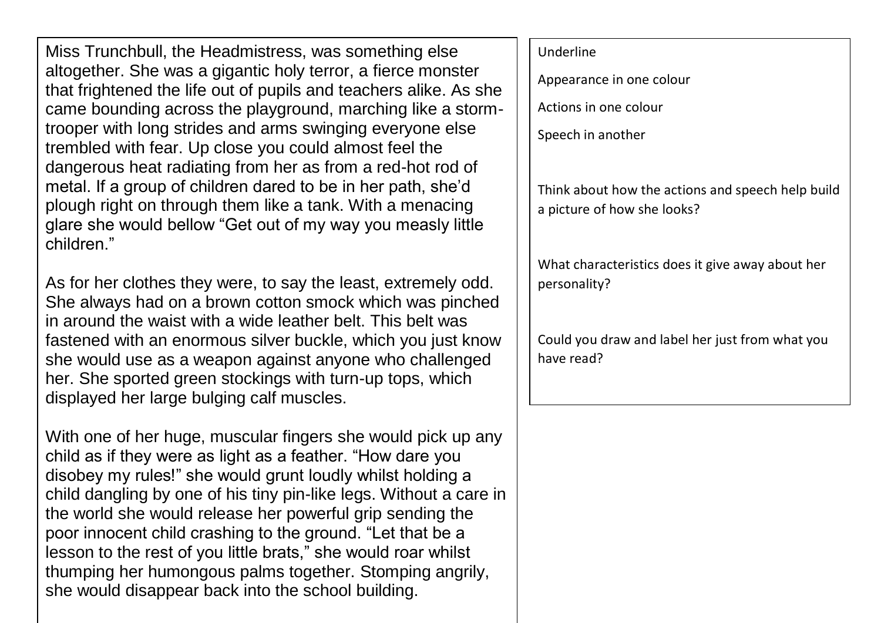Miss Trunchbull, the Headmistress, was something else altogether. She was a gigantic holy terror, a fierce monster that frightened the life out of pupils and teachers alike. As she came bounding across the playground, marching like a stormtrooper with long strides and arms swinging everyone else trembled with fear. Up close you could almost feel the dangerous heat radiating from her as from a red-hot rod of metal. If a group of children dared to be in her path, she'd plough right on through them like a tank. With a menacing glare she would bellow "Get out of my way you measly little children."

As for her clothes they were, to say the least, extremely odd. She always had on a brown cotton smock which was pinched in around the waist with a wide leather belt. This belt was fastened with an enormous silver buckle, which you just know she would use as a weapon against anyone who challenged her. She sported green stockings with turn-up tops, which displayed her large bulging calf muscles.

With one of her huge, muscular fingers she would pick up any child as if they were as light as a feather. "How dare you disobey my rules!" she would grunt loudly whilst holding a child dangling by one of his tiny pin-like legs. Without a care in the world she would release her powerful grip sending the poor innocent child crashing to the ground. "Let that be a lesson to the rest of you little brats," she would roar whilst thumping her humongous palms together. Stomping angrily, she would disappear back into the school building.

## Underline Appearance in one colour Actions in one colour Speech in another Think about how the actions and speech help build a picture of how she looks? What characteristics does it give away about her personality? Could you draw and label her just from what you have read?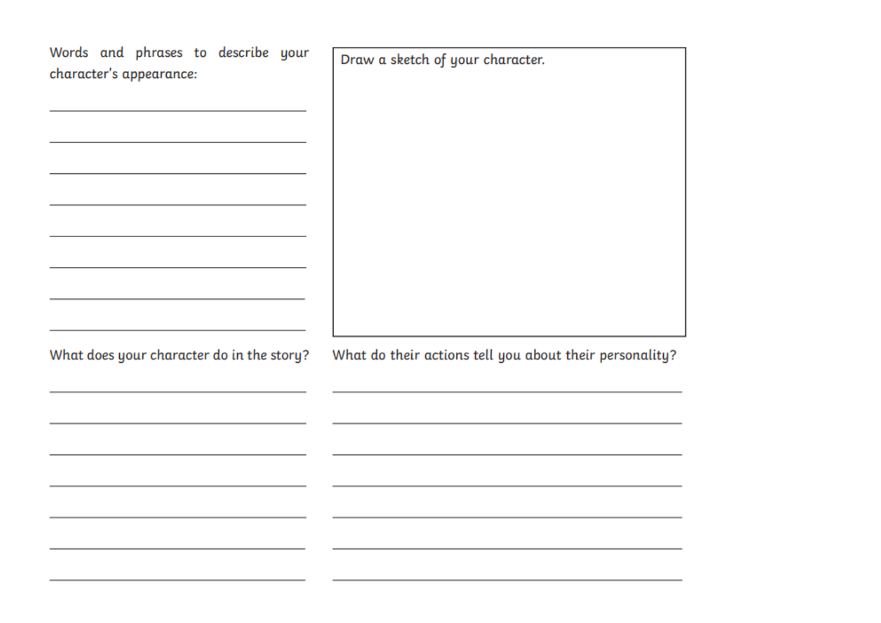| Words and phrases to describe your<br>character's appearance:                                                                                                 | Draw a sketch of your character.                        |
|---------------------------------------------------------------------------------------------------------------------------------------------------------------|---------------------------------------------------------|
| <u> 1989 - Johann Harry Harry Harry Harry Harry Harry Harry Harry Harry Harry Harry Harry Harry Harry Harry Harry</u>                                         |                                                         |
| the contract of the contract of the contract of the contract of the contract of<br>the control of the control of the control of the control of the control of |                                                         |
| the control of the control of the control of the control of the control of<br><u> 1989 - Johann Barn, amerikansk politiker (d. 1989)</u>                      |                                                         |
| What does your character do in the story?                                                                                                                     | What do their actions tell you about their personality? |
|                                                                                                                                                               |                                                         |
|                                                                                                                                                               |                                                         |
|                                                                                                                                                               |                                                         |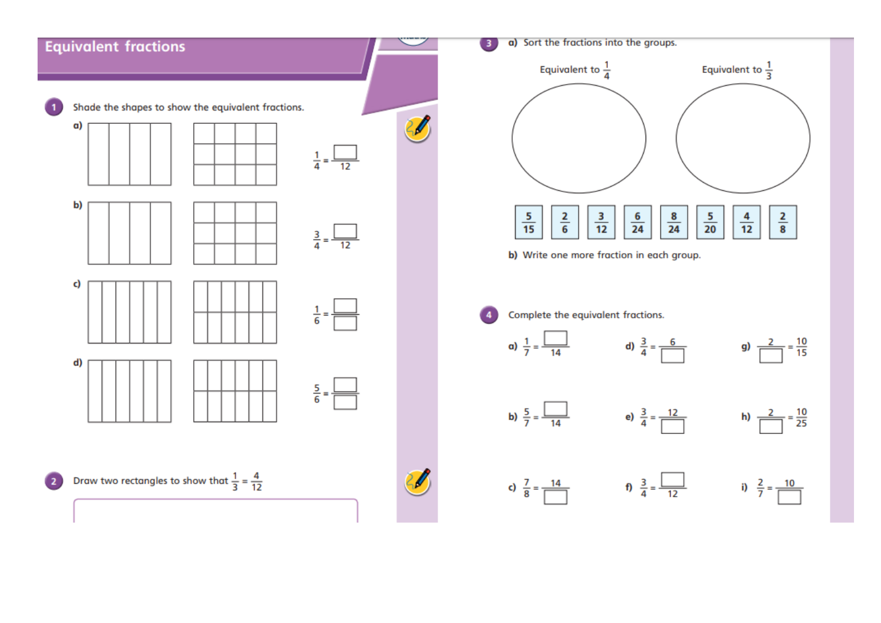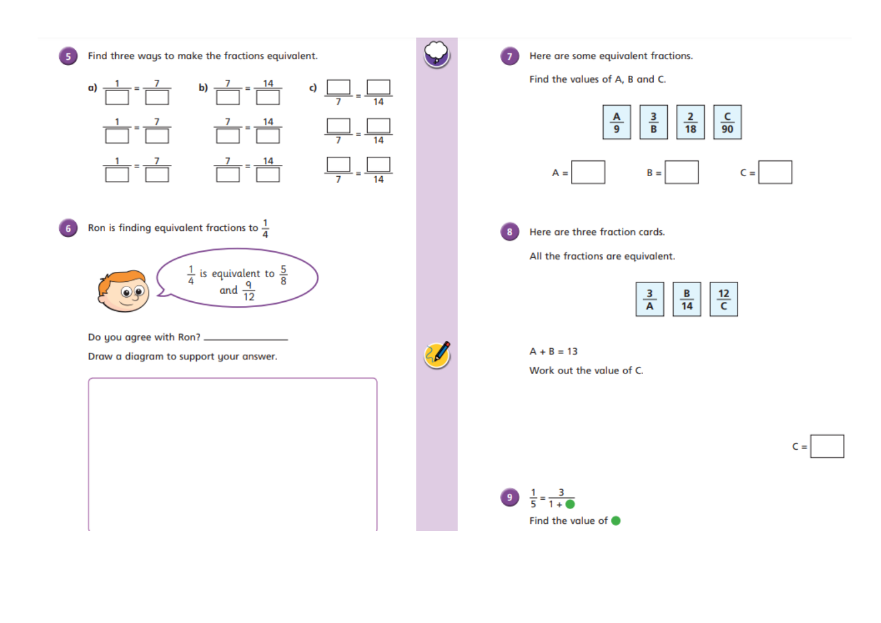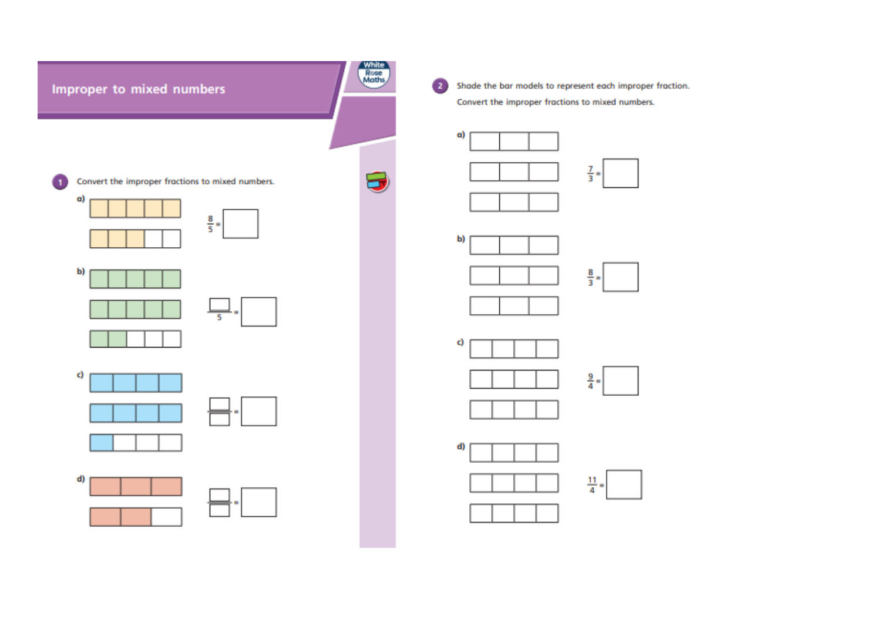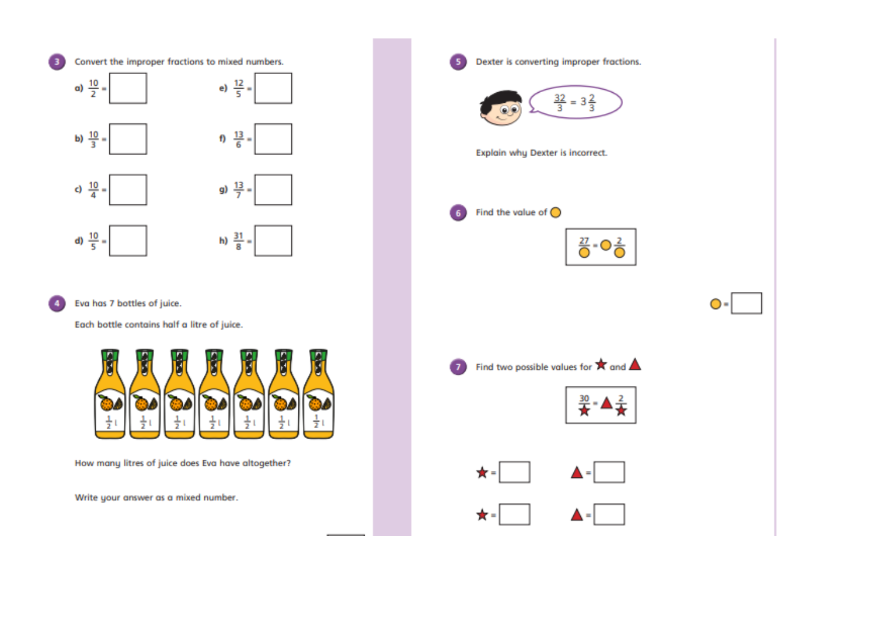

Eva has 7 bottles of juice.

 $\overline{4}$ 

Each bottle contains half a litre of juice.



How many litres of juice does Eva have altogether?

Write your answer as a mixed number.

| Dexter is converting improper fractions.                                             |    |
|--------------------------------------------------------------------------------------|----|
| $\frac{32}{3} = 3\frac{2}{3}$                                                        |    |
| Explain why Dexter is incorrect.                                                     |    |
| Find the value of $\bigcirc$<br>$\frac{27}{0}$ -O $\frac{2}{0}$                      | ∩- |
|                                                                                      |    |
| Find two possible values for $\bigstar$ and $\blacktriangle$<br>ु<br><del>∛</del> ≠▲ |    |
| ★= <br>▲=                                                                            |    |
|                                                                                      |    |